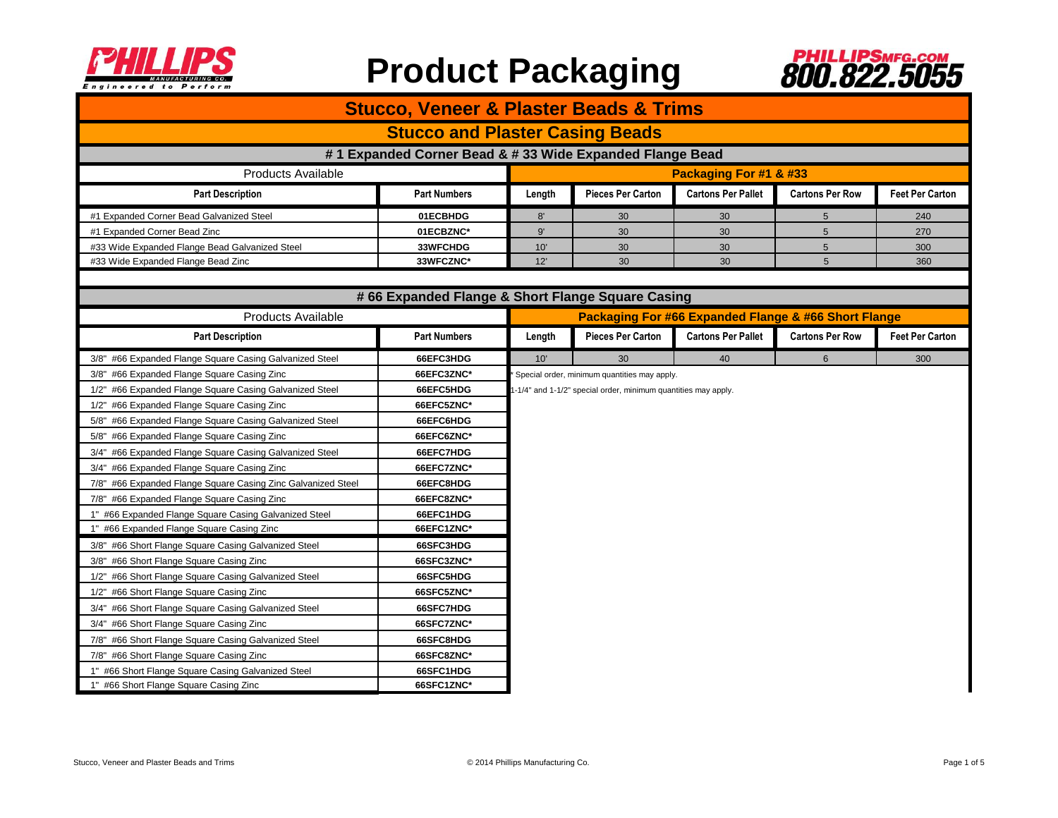



| <b>Stucco, Veneer &amp; Plaster Beads &amp; Trims</b>        |                                                  |                                                                                                                |                          |                                                      |                        |                        |  |  |  |
|--------------------------------------------------------------|--------------------------------------------------|----------------------------------------------------------------------------------------------------------------|--------------------------|------------------------------------------------------|------------------------|------------------------|--|--|--|
| <b>Stucco and Plaster Casing Beads</b>                       |                                                  |                                                                                                                |                          |                                                      |                        |                        |  |  |  |
| #1 Expanded Corner Bead & # 33 Wide Expanded Flange Bead     |                                                  |                                                                                                                |                          |                                                      |                        |                        |  |  |  |
| <b>Products Available</b>                                    |                                                  |                                                                                                                | Packaging For #1 & #33   |                                                      |                        |                        |  |  |  |
| <b>Part Description</b>                                      | <b>Part Numbers</b>                              | Length                                                                                                         | <b>Pieces Per Carton</b> | <b>Cartons Per Pallet</b>                            | <b>Cartons Per Row</b> | <b>Feet Per Carton</b> |  |  |  |
| #1 Expanded Corner Bead Galvanized Steel                     | 01ECBHDG                                         | 8'                                                                                                             | 30                       | 30                                                   | 5                      | 240                    |  |  |  |
| #1 Expanded Corner Bead Zinc                                 | 01ECBZNC*                                        | 9'                                                                                                             | 30                       | 30                                                   | 5                      | 270                    |  |  |  |
| #33 Wide Expanded Flange Bead Galvanized Steel               | 33WFCHDG                                         | 10'                                                                                                            | 30                       | 30                                                   | $5\phantom{.0}$        | 300                    |  |  |  |
| #33 Wide Expanded Flange Bead Zinc                           | 33WFCZNC*                                        | 12'                                                                                                            | 30                       | 30                                                   | $5\phantom{.0}$        | 360                    |  |  |  |
|                                                              |                                                  |                                                                                                                |                          |                                                      |                        |                        |  |  |  |
|                                                              | #66 Expanded Flange & Short Flange Square Casing |                                                                                                                |                          |                                                      |                        |                        |  |  |  |
| <b>Products Available</b>                                    |                                                  |                                                                                                                |                          | Packaging For #66 Expanded Flange & #66 Short Flange |                        |                        |  |  |  |
| <b>Part Description</b>                                      | <b>Part Numbers</b>                              | Length                                                                                                         | <b>Pieces Per Carton</b> | <b>Cartons Per Pallet</b>                            | <b>Cartons Per Row</b> | <b>Feet Per Carton</b> |  |  |  |
| 3/8" #66 Expanded Flange Square Casing Galvanized Steel      | 66EFC3HDG                                        | 10'                                                                                                            | 30                       | 40                                                   | 6                      | 300                    |  |  |  |
| 3/8" #66 Expanded Flange Square Casing Zinc                  | 66EFC3ZNC*                                       | Special order, minimum quantities may apply.<br>I-1/4" and 1-1/2" special order, minimum quantities may apply. |                          |                                                      |                        |                        |  |  |  |
| 1/2" #66 Expanded Flange Square Casing Galvanized Steel      | 66EFC5HDG                                        |                                                                                                                |                          |                                                      |                        |                        |  |  |  |
| 1/2" #66 Expanded Flange Square Casing Zinc                  | 66EFC5ZNC*                                       |                                                                                                                |                          |                                                      |                        |                        |  |  |  |
| 5/8" #66 Expanded Flange Square Casing Galvanized Steel      | 66EFC6HDG                                        |                                                                                                                |                          |                                                      |                        |                        |  |  |  |
| 5/8" #66 Expanded Flange Square Casing Zinc                  | 66EFC6ZNC*                                       |                                                                                                                |                          |                                                      |                        |                        |  |  |  |
| 3/4" #66 Expanded Flange Square Casing Galvanized Steel      | 66EFC7HDG                                        |                                                                                                                |                          |                                                      |                        |                        |  |  |  |
| 3/4" #66 Expanded Flange Square Casing Zinc                  | 66EFC7ZNC*                                       |                                                                                                                |                          |                                                      |                        |                        |  |  |  |
| 7/8" #66 Expanded Flange Square Casing Zinc Galvanized Steel | 66EFC8HDG                                        |                                                                                                                |                          |                                                      |                        |                        |  |  |  |
| 7/8" #66 Expanded Flange Square Casing Zinc                  | 66EFC8ZNC*                                       |                                                                                                                |                          |                                                      |                        |                        |  |  |  |
| 1" #66 Expanded Flange Square Casing Galvanized Steel        | 66EFC1HDG                                        |                                                                                                                |                          |                                                      |                        |                        |  |  |  |
| 1" #66 Expanded Flange Square Casing Zinc                    | 66EFC1ZNC*                                       |                                                                                                                |                          |                                                      |                        |                        |  |  |  |
| 3/8" #66 Short Flange Square Casing Galvanized Steel         | 66SFC3HDG                                        |                                                                                                                |                          |                                                      |                        |                        |  |  |  |
| 3/8" #66 Short Flange Square Casing Zinc                     | 66SFC3ZNC*                                       |                                                                                                                |                          |                                                      |                        |                        |  |  |  |
| 1/2" #66 Short Flange Square Casing Galvanized Steel         | 66SFC5HDG                                        |                                                                                                                |                          |                                                      |                        |                        |  |  |  |
| 1/2" #66 Short Flange Square Casing Zinc                     | 66SFC5ZNC*                                       |                                                                                                                |                          |                                                      |                        |                        |  |  |  |
| 3/4" #66 Short Flange Square Casing Galvanized Steel         | 66SFC7HDG                                        |                                                                                                                |                          |                                                      |                        |                        |  |  |  |
| 3/4" #66 Short Flange Square Casing Zinc                     | 66SFC7ZNC*                                       |                                                                                                                |                          |                                                      |                        |                        |  |  |  |
| 7/8" #66 Short Flange Square Casing Galvanized Steel         | 66SFC8HDG                                        |                                                                                                                |                          |                                                      |                        |                        |  |  |  |
| 7/8" #66 Short Flange Square Casing Zinc                     | 66SFC8ZNC*                                       |                                                                                                                |                          |                                                      |                        |                        |  |  |  |
| 1" #66 Short Flange Square Casing Galvanized Steel           | 66SFC1HDG                                        |                                                                                                                |                          |                                                      |                        |                        |  |  |  |
| 1" #66 Short Flange Square Casing Zinc                       | 66SFC1ZNC*                                       |                                                                                                                |                          |                                                      |                        |                        |  |  |  |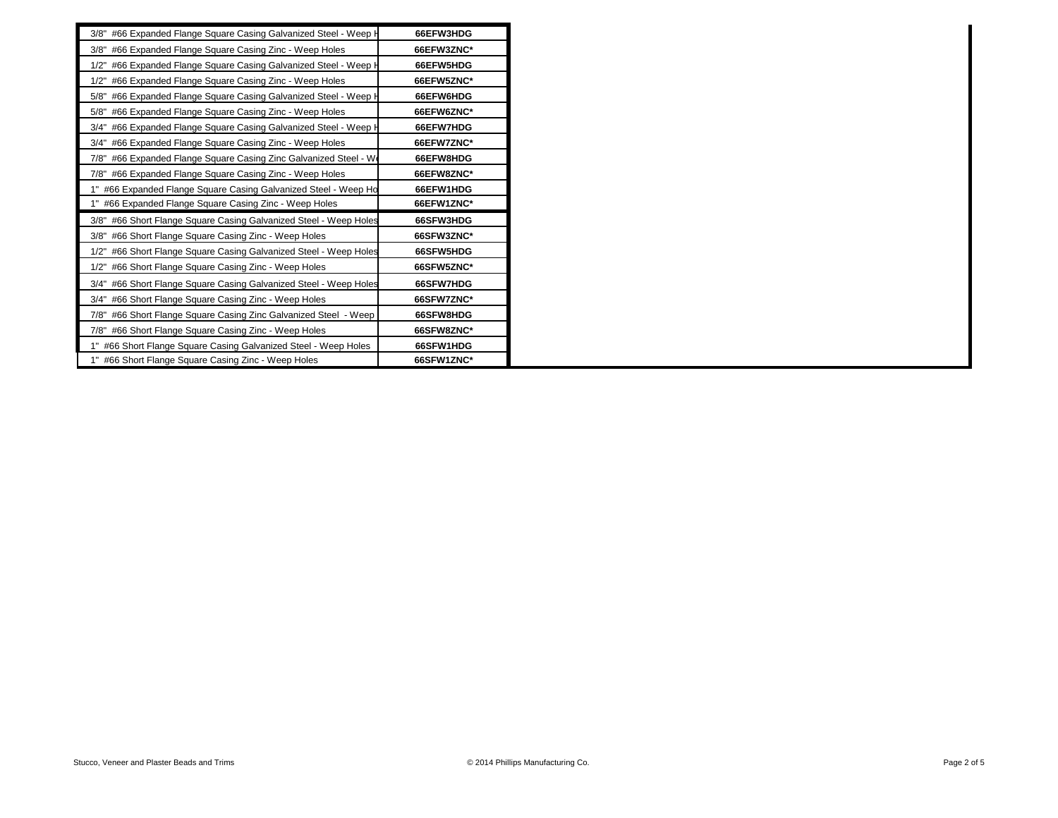| 3/8" #66 Expanded Flange Square Casing Galvanized Steel - Weep H  | 66EFW3HDG  |
|-------------------------------------------------------------------|------------|
| 3/8" #66 Expanded Flange Square Casing Zinc - Weep Holes          | 66EFW3ZNC* |
| 1/2" #66 Expanded Flange Square Casing Galvanized Steel - Weep H  | 66EFW5HDG  |
| 1/2" #66 Expanded Flange Square Casing Zinc - Weep Holes          | 66EFW5ZNC* |
| 5/8" #66 Expanded Flange Square Casing Galvanized Steel - Weep H  | 66EFW6HDG  |
| 5/8" #66 Expanded Flange Square Casing Zinc - Weep Holes          | 66EFW6ZNC* |
| 3/4" #66 Expanded Flange Square Casing Galvanized Steel - Weep H  | 66EFW7HDG  |
| 3/4" #66 Expanded Flange Square Casing Zinc - Weep Holes          | 66EFW7ZNC* |
| 7/8" #66 Expanded Flange Square Casing Zinc Galvanized Steel - We | 66EFW8HDG  |
| 7/8" #66 Expanded Flange Square Casing Zinc - Weep Holes          | 66EFW8ZNC* |
| #66 Expanded Flange Square Casing Galvanized Steel - Weep Ho      | 66EFW1HDG  |
| #66 Expanded Flange Square Casing Zinc - Weep Holes               | 66EFW1ZNC* |
| 3/8" #66 Short Flange Square Casing Galvanized Steel - Weep Holes | 66SFW3HDG  |
| 3/8" #66 Short Flange Square Casing Zinc - Weep Holes             | 66SFW3ZNC* |
| 1/2" #66 Short Flange Square Casing Galvanized Steel - Weep Holes | 66SFW5HDG  |
| 1/2" #66 Short Flange Square Casing Zinc - Weep Holes             | 66SFW5ZNC* |
| 3/4" #66 Short Flange Square Casing Galvanized Steel - Weep Holes | 66SFW7HDG  |
| 3/4" #66 Short Flange Square Casing Zinc - Weep Holes             | 66SFW7ZNC* |
| 7/8" #66 Short Flange Square Casing Zinc Galvanized Steel - Weep  | 66SFW8HDG  |
| 7/8" #66 Short Flange Square Casing Zinc - Weep Holes             | 66SFW8ZNC* |
| "#66 Short Flange Square Casing Galvanized Steel - Weep Holes     | 66SFW1HDG  |
| #66 Short Flange Square Casing Zinc - Weep Holes                  | 66SFW1ZNC* |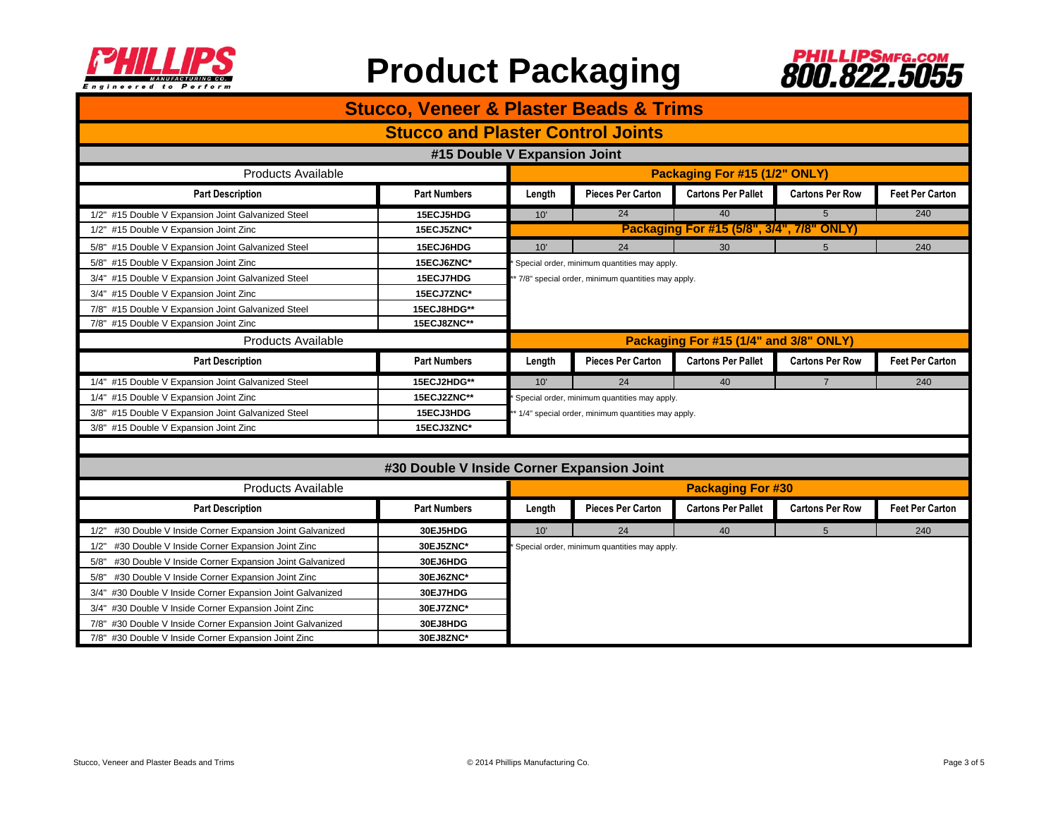



| <b>Stucco, Veneer &amp; Plaster Beads &amp; Trims</b>         |                     |                                                                                                   |                                              |                                        |                        |                        |  |
|---------------------------------------------------------------|---------------------|---------------------------------------------------------------------------------------------------|----------------------------------------------|----------------------------------------|------------------------|------------------------|--|
| <b>Stucco and Plaster Control Joints</b>                      |                     |                                                                                                   |                                              |                                        |                        |                        |  |
| #15 Double V Expansion Joint                                  |                     |                                                                                                   |                                              |                                        |                        |                        |  |
| <b>Products Available</b>                                     |                     |                                                                                                   | Packaging For #15 (1/2" ONLY)                |                                        |                        |                        |  |
| <b>Part Description</b>                                       | <b>Part Numbers</b> | Length                                                                                            | <b>Pieces Per Carton</b>                     | <b>Cartons Per Pallet</b>              | <b>Cartons Per Row</b> | <b>Feet Per Carton</b> |  |
| 1/2" #15 Double V Expansion Joint Galvanized Steel            | 15ECJ5HDG           | 10'                                                                                               | 24                                           | 40                                     | 5                      | 240                    |  |
| 1/2" #15 Double V Expansion Joint Zinc                        | 15ECJ5ZNC*          | Packaging For #15 (5/8", 3/4", 7/8" ONLY)                                                         |                                              |                                        |                        |                        |  |
| 5/8" #15 Double V Expansion Joint Galvanized Steel            | 15ECJ6HDG           | 10'                                                                                               | 24                                           | 30                                     | 5                      | 240                    |  |
| 5/8" #15 Double V Expansion Joint Zinc                        | 15ECJ6ZNC*          | Special order, minimum quantities may apply.<br>7/8" special order, minimum quantities may apply. |                                              |                                        |                        |                        |  |
| 3/4" #15 Double V Expansion Joint Galvanized Steel            | 15ECJ7HDG           |                                                                                                   |                                              |                                        |                        |                        |  |
| 3/4" #15 Double V Expansion Joint Zinc                        | 15ECJ7ZNC*          |                                                                                                   |                                              |                                        |                        |                        |  |
| 7/8" #15 Double V Expansion Joint Galvanized Steel            | 15ECJ8HDG**         |                                                                                                   |                                              |                                        |                        |                        |  |
| 7/8" #15 Double V Expansion Joint Zinc                        | 15ECJ8ZNC**         |                                                                                                   |                                              |                                        |                        |                        |  |
| <b>Products Available</b>                                     |                     |                                                                                                   |                                              | Packaging For #15 (1/4" and 3/8" ONLY) |                        |                        |  |
| <b>Part Description</b>                                       | <b>Part Numbers</b> | Length                                                                                            | <b>Pieces Per Carton</b>                     | <b>Cartons Per Pallet</b>              | <b>Cartons Per Row</b> | <b>Feet Per Carton</b> |  |
| 1/4" #15 Double V Expansion Joint Galvanized Steel            | 15ECJ2HDG**         | 10'                                                                                               | 24                                           | 40                                     | $\overline{7}$         | 240                    |  |
| 1/4" #15 Double V Expansion Joint Zinc                        | 15ECJ2ZNC**         | Special order, minimum quantities may apply.                                                      |                                              |                                        |                        |                        |  |
| 3/8" #15 Double V Expansion Joint Galvanized Steel            | 15ECJ3HDG           | 1/4" special order, minimum quantities may apply.                                                 |                                              |                                        |                        |                        |  |
| 3/8" #15 Double V Expansion Joint Zinc                        | 15ECJ3ZNC*          |                                                                                                   |                                              |                                        |                        |                        |  |
|                                                               |                     |                                                                                                   |                                              |                                        |                        |                        |  |
| #30 Double V Inside Corner Expansion Joint                    |                     |                                                                                                   |                                              |                                        |                        |                        |  |
| <b>Products Available</b>                                     |                     | <b>Packaging For #30</b>                                                                          |                                              |                                        |                        |                        |  |
| <b>Part Description</b>                                       | <b>Part Numbers</b> | Length                                                                                            | <b>Pieces Per Carton</b>                     | <b>Cartons Per Pallet</b>              | <b>Cartons Per Row</b> | <b>Feet Per Carton</b> |  |
| #30 Double V Inside Corner Expansion Joint Galvanized<br>1/2" | 30EJ5HDG            | 10'                                                                                               | 24                                           | 40                                     | 5                      | 240                    |  |
| 1/2" #30 Double V Inside Corner Expansion Joint Zinc          | 30EJ5ZNC*           |                                                                                                   | Special order, minimum quantities may apply. |                                        |                        |                        |  |
| #30 Double V Inside Corner Expansion Joint Galvanized<br>5/8" | 30EJ6HDG            |                                                                                                   |                                              |                                        |                        |                        |  |
| 5/8" #30 Double V Inside Corner Expansion Joint Zinc          | 30EJ6ZNC*           |                                                                                                   |                                              |                                        |                        |                        |  |
| 3/4" #30 Double V Inside Corner Expansion Joint Galvanized    | 30EJ7HDG            |                                                                                                   |                                              |                                        |                        |                        |  |
| 3/4" #30 Double V Inside Corner Expansion Joint Zinc          | 30EJ7ZNC*           |                                                                                                   |                                              |                                        |                        |                        |  |
| 7/8" #30 Double V Inside Corner Expansion Joint Galvanized    | 30EJ8HDG            |                                                                                                   |                                              |                                        |                        |                        |  |
| 7/8" #30 Double V Inside Corner Expansion Joint Zinc          | 30EJ8ZNC*           |                                                                                                   |                                              |                                        |                        |                        |  |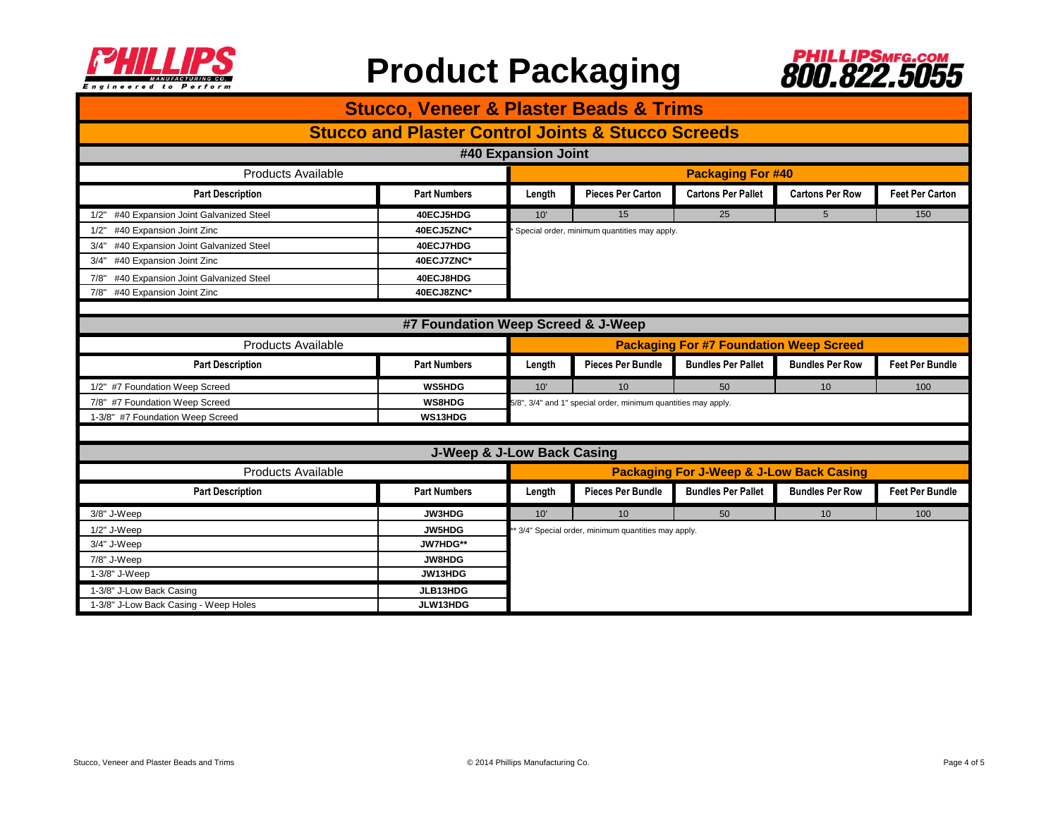



| <b>Stucco, Veneer &amp; Plaster Beads &amp; Trims</b>         |                                       |                                                                |                                                   |                           |                        |                        |  |
|---------------------------------------------------------------|---------------------------------------|----------------------------------------------------------------|---------------------------------------------------|---------------------------|------------------------|------------------------|--|
| <b>Stucco and Plaster Control Joints &amp; Stucco Screeds</b> |                                       |                                                                |                                                   |                           |                        |                        |  |
| #40 Expansion Joint                                           |                                       |                                                                |                                                   |                           |                        |                        |  |
| <b>Products Available</b>                                     |                                       | <b>Packaging For #40</b>                                       |                                                   |                           |                        |                        |  |
| <b>Part Description</b>                                       | <b>Part Numbers</b>                   | Length                                                         | Pieces Per Carton                                 | <b>Cartons Per Pallet</b> | <b>Cartons Per Row</b> | <b>Feet Per Carton</b> |  |
| #40 Expansion Joint Galvanized Steel<br>1/2"                  | 40ECJ5HDG                             | 10'                                                            | 15                                                | 25                        | 5                      | 150                    |  |
| #40 Expansion Joint Zinc<br>1/2"                              | 40ECJ5ZNC*                            | Special order, minimum quantities may apply.                   |                                                   |                           |                        |                        |  |
| #40 Expansion Joint Galvanized Steel<br>3/4"                  | 40ECJ7HDG                             |                                                                |                                                   |                           |                        |                        |  |
| #40 Expansion Joint Zinc<br>3/4"                              | 40ECJ7ZNC*                            |                                                                |                                                   |                           |                        |                        |  |
| 7/8" #40 Expansion Joint Galvanized Steel                     | 40ECJ8HDG                             |                                                                |                                                   |                           |                        |                        |  |
| 7/8" #40 Expansion Joint Zinc                                 | 40ECJ8ZNC*                            |                                                                |                                                   |                           |                        |                        |  |
|                                                               |                                       |                                                                |                                                   |                           |                        |                        |  |
|                                                               | #7 Foundation Weep Screed & J-Weep    |                                                                |                                                   |                           |                        |                        |  |
| <b>Products Available</b>                                     |                                       | <b>Packaging For #7 Foundation Weep Screed</b>                 |                                                   |                           |                        |                        |  |
| <b>Part Description</b>                                       | <b>Part Numbers</b>                   | Length                                                         | <b>Pieces Per Bundle</b>                          | <b>Bundles Per Pallet</b> | <b>Bundles Per Row</b> | <b>Feet Per Bundle</b> |  |
| 1/2" #7 Foundation Weep Screed                                | WS5HDG                                | 10'                                                            | 10                                                | 50                        | 10                     | 100                    |  |
| 7/8" #7 Foundation Weep Screed                                | WS8HDG                                | 5/8", 3/4" and 1" special order, minimum quantities may apply. |                                                   |                           |                        |                        |  |
| 1-3/8" #7 Foundation Weep Screed                              | WS13HDG                               |                                                                |                                                   |                           |                        |                        |  |
|                                                               |                                       |                                                                |                                                   |                           |                        |                        |  |
|                                                               | <b>J-Weep &amp; J-Low Back Casing</b> |                                                                |                                                   |                           |                        |                        |  |
| <b>Products Available</b>                                     |                                       | <b>Packaging For J-Weep &amp; J-Low Back Casing</b>            |                                                   |                           |                        |                        |  |
| <b>Part Description</b>                                       | <b>Part Numbers</b>                   | Length                                                         | <b>Pieces Per Bundle</b>                          | <b>Bundles Per Pallet</b> | <b>Bundles Per Row</b> | <b>Feet Per Bundle</b> |  |
| 3/8" J-Weep                                                   | <b>JW3HDG</b>                         | 10'                                                            | 10 <sup>1</sup>                                   | 50                        | 10                     | 100                    |  |
| $1/2"$ J-Weep                                                 | JW5HDG                                |                                                                | 3/4" Special order, minimum quantities may apply. |                           |                        |                        |  |
| 3/4" J-Weep                                                   | JW7HDG**                              |                                                                |                                                   |                           |                        |                        |  |
| 7/8" J-Weep                                                   | JW8HDG                                |                                                                |                                                   |                           |                        |                        |  |
| 1-3/8" J-Weep                                                 | JW13HDG                               |                                                                |                                                   |                           |                        |                        |  |
| 1-3/8" J-Low Back Casing                                      | JLB13HDG                              |                                                                |                                                   |                           |                        |                        |  |
| 1-3/8" J-Low Back Casing - Weep Holes                         | JLW13HDG                              |                                                                |                                                   |                           |                        |                        |  |